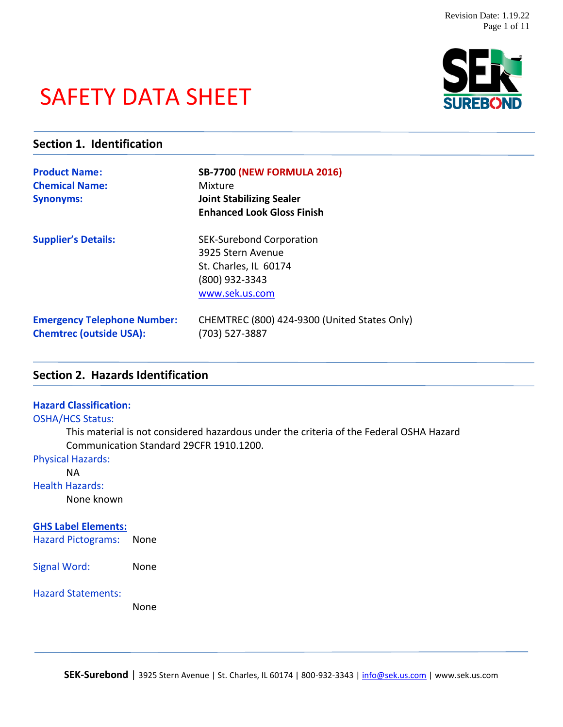# SAFETY DATA SHEET



# **Section 1. Identification**

| <b>Product Name:</b><br><b>Chemical Name:</b><br><b>Synonyms:</b>    | <b>SB-7700 (NEW FORMULA 2016)</b><br>Mixture<br><b>Joint Stabilizing Sealer</b><br><b>Enhanced Look Gloss Finish</b> |
|----------------------------------------------------------------------|----------------------------------------------------------------------------------------------------------------------|
| <b>Supplier's Details:</b>                                           | <b>SEK-Surebond Corporation</b><br>3925 Stern Avenue<br>St. Charles, IL 60174<br>(800) 932-3343<br>www.sek.us.com    |
| <b>Emergency Telephone Number:</b><br><b>Chemtrec (outside USA):</b> | CHEMTREC (800) 424-9300 (United States Only)<br>(703) 527-3887                                                       |

# **Section 2. Hazards Identification**

## **Hazard Classification:**

#### OSHA/HCS Status:

This material is not considered hazardous under the criteria of the Federal OSHA Hazard Communication Standard 29CFR 1910.1200.

#### Physical Hazards:

NA

#### Health Hazards:

None known

#### **GHS Label Elements:**

Hazard Pictograms: None

Signal Word: None

#### Hazard Statements:

None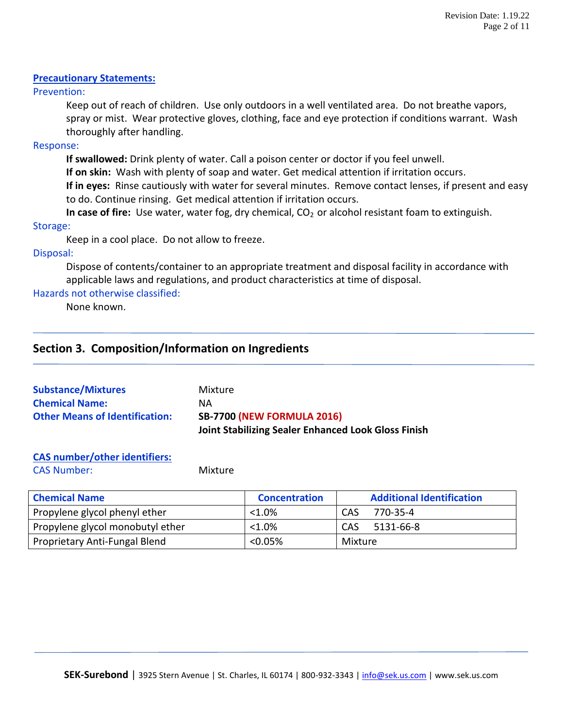# **Precautionary Statements:**

Prevention:

Keep out of reach of children. Use only outdoors in a well ventilated area. Do not breathe vapors, spray or mist. Wear protective gloves, clothing, face and eye protection if conditions warrant. Wash thoroughly after handling.

# Response:

**If swallowed:** Drink plenty of water. Call a poison center or doctor if you feel unwell.

**If on skin:** Wash with plenty of soap and water. Get medical attention if irritation occurs.

**If in eyes:** Rinse cautiously with water for several minutes. Remove contact lenses, if present and easy to do. Continue rinsing. Get medical attention if irritation occurs.

**In case of fire:** Use water, water fog, dry chemical, CO<sub>2</sub> or alcohol resistant foam to extinguish.

# Storage:

Keep in a cool place. Do not allow to freeze.

# Disposal:

Dispose of contents/container to an appropriate treatment and disposal facility in accordance with applicable laws and regulations, and product characteristics at time of disposal.

# Hazards not otherwise classified:

None known.

# **Section 3. Composition/Information on Ingredients**

| <b>Substance/Mixtures</b>             | Mixture                                                    |
|---------------------------------------|------------------------------------------------------------|
| <b>Chemical Name:</b>                 | ΝA                                                         |
| <b>Other Means of Identification:</b> | <b>SB-7700 (NEW FORMULA 2016)</b>                          |
|                                       | <b>Joint Stabilizing Sealer Enhanced Look Gloss Finish</b> |

# **CAS number/other identifiers:**

CAS Number: Mixture

| <b>Chemical Name</b>             | <b>Concentration</b> | <b>Additional Identification</b> |
|----------------------------------|----------------------|----------------------------------|
| Propylene glycol phenyl ether    | $< 1.0\%$            | CAS<br>770-35-4                  |
| Propylene glycol monobutyl ether | $< 1.0\%$            | CAS<br>5131-66-8                 |
| Proprietary Anti-Fungal Blend    | $< 0.05\%$           | Mixture                          |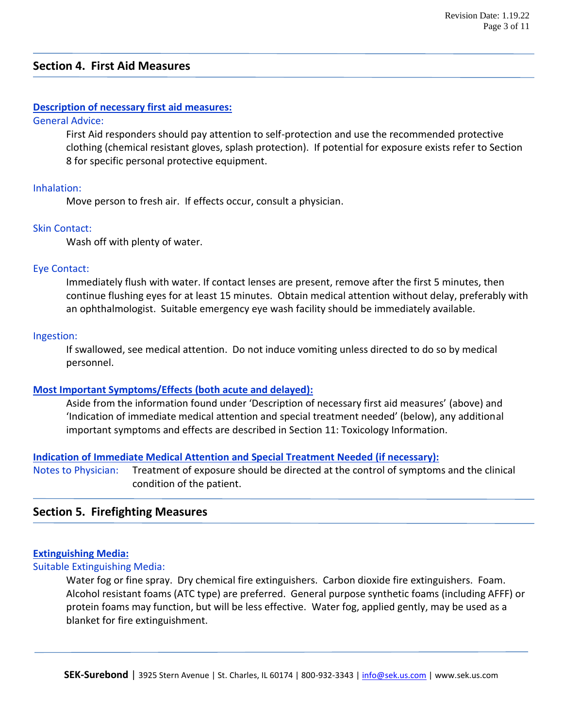# **Section 4. First Aid Measures**

## **Description of necessary first aid measures:**

#### General Advice:

First Aid responders should pay attention to self-protection and use the recommended protective clothing (chemical resistant gloves, splash protection). If potential for exposure exists refer to Section 8 for specific personal protective equipment.

#### Inhalation:

Move person to fresh air. If effects occur, consult a physician.

#### Skin Contact:

Wash off with plenty of water.

#### Eye Contact:

Immediately flush with water. If contact lenses are present, remove after the first 5 minutes, then continue flushing eyes for at least 15 minutes. Obtain medical attention without delay, preferably with an ophthalmologist. Suitable emergency eye wash facility should be immediately available.

#### Ingestion:

If swallowed, see medical attention. Do not induce vomiting unless directed to do so by medical personnel.

#### **Most Important Symptoms/Effects (both acute and delayed):**

Aside from the information found under 'Description of necessary first aid measures' (above) and 'Indication of immediate medical attention and special treatment needed' (below), any additional important symptoms and effects are described in Section 11: Toxicology Information.

#### **Indication of Immediate Medical Attention and Special Treatment Needed (if necessary):**

Notes to Physician: Treatment of exposure should be directed at the control of symptoms and the clinical condition of the patient.

# **Section 5. Firefighting Measures**

#### **Extinguishing Media:**

Suitable Extinguishing Media:

Water fog or fine spray. Dry chemical fire extinguishers. Carbon dioxide fire extinguishers. Foam. Alcohol resistant foams (ATC type) are preferred. General purpose synthetic foams (including AFFF) or protein foams may function, but will be less effective. Water fog, applied gently, may be used as a blanket for fire extinguishment.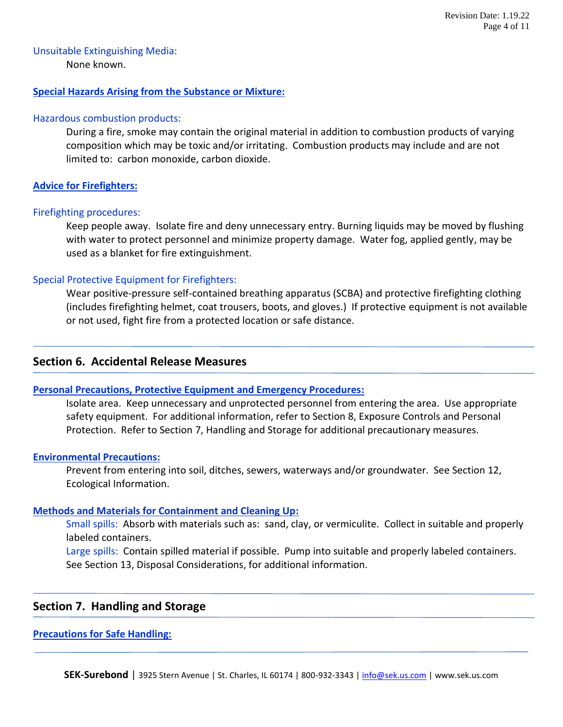# Unsuitable Extinguishing Media:

None known.

## **Special Hazards Arising from the Substance or Mixture:**

#### Hazardous combustion products:

During a fire, smoke may contain the original material in addition to combustion products of varying composition which may be toxic and/or irritating. Combustion products may include and are not limited to: carbon monoxide, carbon dioxide.

# **Advice for Firefighters:**

## Firefighting procedures:

Keep people away. Isolate fire and deny unnecessary entry. Burning liquids may be moved by flushing with water to protect personnel and minimize property damage. Water fog, applied gently, may be used as a blanket for fire extinguishment.

# Special Protective Equipment for Firefighters:

Wear positive-pressure self-contained breathing apparatus (SCBA) and protective firefighting clothing (includes firefighting helmet, coat trousers, boots, and gloves.) If protective equipment is not available or not used, fight fire from a protected location or safe distance.

# **Section 6. Accidental Release Measures**

#### **Personal Precautions, Protective Equipment and Emergency Procedures:**

Isolate area. Keep unnecessary and unprotected personnel from entering the area. Use appropriate safety equipment. For additional information, refer to Section 8, Exposure Controls and Personal Protection. Refer to Section 7, Handling and Storage for additional precautionary measures.

#### **Environmental Precautions:**

Prevent from entering into soil, ditches, sewers, waterways and/or groundwater. See Section 12, Ecological Information.

#### **Methods and Materials for Containment and Cleaning Up:**

Small spills: Absorb with materials such as: sand, clay, or vermiculite. Collect in suitable and properly labeled containers.

Large spills: Contain spilled material if possible. Pump into suitable and properly labeled containers. See Section 13, Disposal Considerations, for additional information.

# **Section 7. Handling and Storage**

#### **Precautions for Safe Handling:**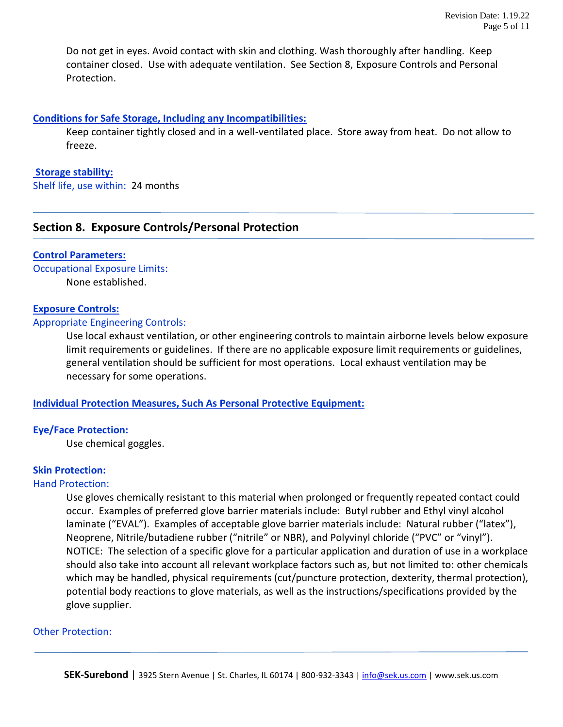Do not get in eyes. Avoid contact with skin and clothing. Wash thoroughly after handling. Keep container closed. Use with adequate ventilation. See Section 8, Exposure Controls and Personal Protection.

## **Conditions for Safe Storage, Including any Incompatibilities:**

Keep container tightly closed and in a well-ventilated place. Store away from heat. Do not allow to freeze.

# **Storage stability:**

Shelf life, use within: 24 months

# **Section 8. Exposure Controls/Personal Protection**

## **Control Parameters:**

Occupational Exposure Limits: None established.

## **Exposure Controls:**

## Appropriate Engineering Controls:

Use local exhaust ventilation, or other engineering controls to maintain airborne levels below exposure limit requirements or guidelines. If there are no applicable exposure limit requirements or guidelines, general ventilation should be sufficient for most operations. Local exhaust ventilation may be necessary for some operations.

# **Individual Protection Measures, Such As Personal Protective Equipment:**

# **Eye/Face Protection:**

Use chemical goggles.

# **Skin Protection:**

#### Hand Protection:

Use gloves chemically resistant to this material when prolonged or frequently repeated contact could occur. Examples of preferred glove barrier materials include: Butyl rubber and Ethyl vinyl alcohol laminate ("EVAL"). Examples of acceptable glove barrier materials include: Natural rubber ("latex"), Neoprene, Nitrile/butadiene rubber ("nitrile" or NBR), and Polyvinyl chloride ("PVC" or "vinyl"). NOTICE: The selection of a specific glove for a particular application and duration of use in a workplace should also take into account all relevant workplace factors such as, but not limited to: other chemicals which may be handled, physical requirements (cut/puncture protection, dexterity, thermal protection), potential body reactions to glove materials, as well as the instructions/specifications provided by the glove supplier.

#### Other Protection: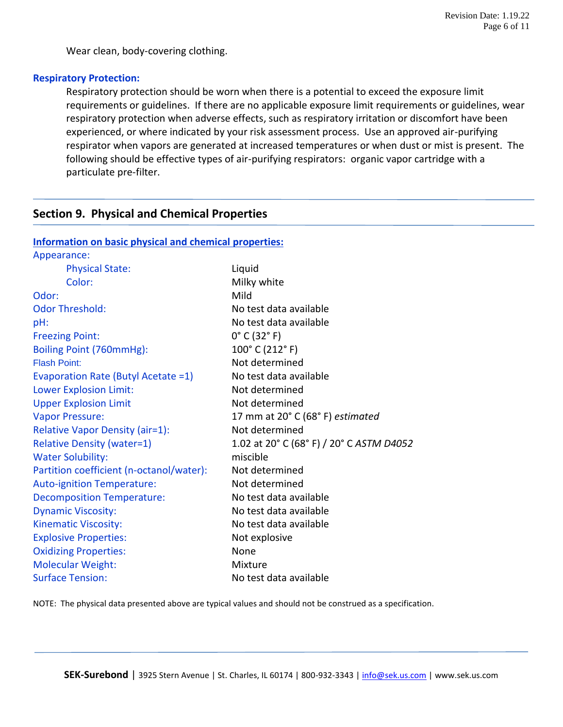Wear clean, body-covering clothing.

#### **Respiratory Protection:**

Respiratory protection should be worn when there is a potential to exceed the exposure limit requirements or guidelines. If there are no applicable exposure limit requirements or guidelines, wear respiratory protection when adverse effects, such as respiratory irritation or discomfort have been experienced, or where indicated by your risk assessment process. Use an approved air-purifying respirator when vapors are generated at increased temperatures or when dust or mist is present. The following should be effective types of air-purifying respirators: organic vapor cartridge with a particulate pre-filter.

# **Section 9. Physical and Chemical Properties**

| Information on basic physical and chemical properties: |  |  |  |
|--------------------------------------------------------|--|--|--|
|                                                        |  |  |  |

| Liquid                                   |
|------------------------------------------|
| Milky white                              |
| Mild                                     |
| No test data available                   |
| No test data available                   |
| $0^{\circ}$ C (32 $^{\circ}$ F)          |
| 100° C (212° F)                          |
| Not determined                           |
| No test data available                   |
| Not determined                           |
| Not determined                           |
| 17 mm at 20° C (68° F) estimated         |
| Not determined                           |
| 1.02 at 20° C (68° F) / 20° C ASTM D4052 |
| miscible                                 |
| Not determined                           |
| Not determined                           |
| No test data available                   |
| No test data available                   |
| No test data available                   |
| Not explosive                            |
| None                                     |
| Mixture                                  |
| No test data available                   |
|                                          |

NOTE: The physical data presented above are typical values and should not be construed as a specification.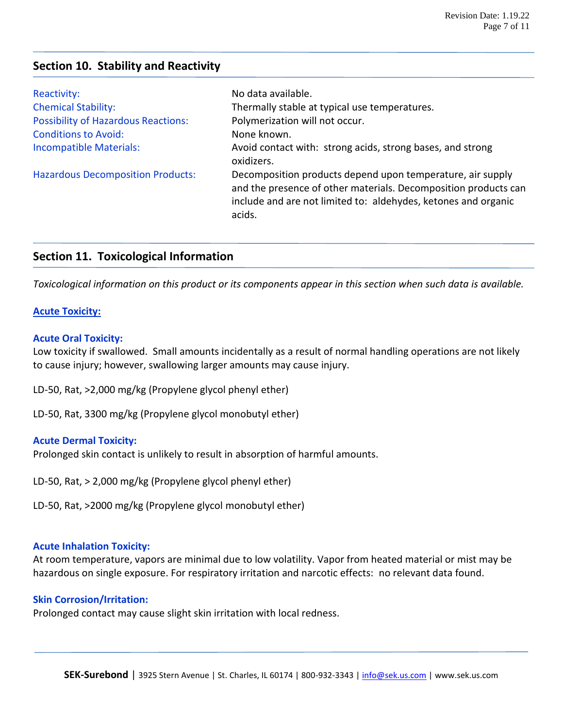# **Section 10. Stability and Reactivity**

| Reactivity:                                | No data available.                                                                                                                                                                                        |
|--------------------------------------------|-----------------------------------------------------------------------------------------------------------------------------------------------------------------------------------------------------------|
| <b>Chemical Stability:</b>                 | Thermally stable at typical use temperatures.                                                                                                                                                             |
| <b>Possibility of Hazardous Reactions:</b> | Polymerization will not occur.                                                                                                                                                                            |
| <b>Conditions to Avoid:</b>                | None known.                                                                                                                                                                                               |
| <b>Incompatible Materials:</b>             | Avoid contact with: strong acids, strong bases, and strong<br>oxidizers.                                                                                                                                  |
| <b>Hazardous Decomposition Products:</b>   | Decomposition products depend upon temperature, air supply<br>and the presence of other materials. Decomposition products can<br>include and are not limited to: aldehydes, ketones and organic<br>acids. |

# **Section 11. Toxicological Information**

*Toxicological information on this product or its components appear in this section when such data is available.*

## **Acute Toxicity:**

## **Acute Oral Toxicity:**

Low toxicity if swallowed. Small amounts incidentally as a result of normal handling operations are not likely to cause injury; however, swallowing larger amounts may cause injury.

LD-50, Rat, >2,000 mg/kg (Propylene glycol phenyl ether)

LD-50, Rat, 3300 mg/kg (Propylene glycol monobutyl ether)

#### **Acute Dermal Toxicity:**

Prolonged skin contact is unlikely to result in absorption of harmful amounts.

LD-50, Rat, > 2,000 mg/kg (Propylene glycol phenyl ether)

LD-50, Rat, >2000 mg/kg (Propylene glycol monobutyl ether)

#### **Acute Inhalation Toxicity:**

At room temperature, vapors are minimal due to low volatility. Vapor from heated material or mist may be hazardous on single exposure. For respiratory irritation and narcotic effects: no relevant data found.

# **Skin Corrosion/Irritation:**

Prolonged contact may cause slight skin irritation with local redness.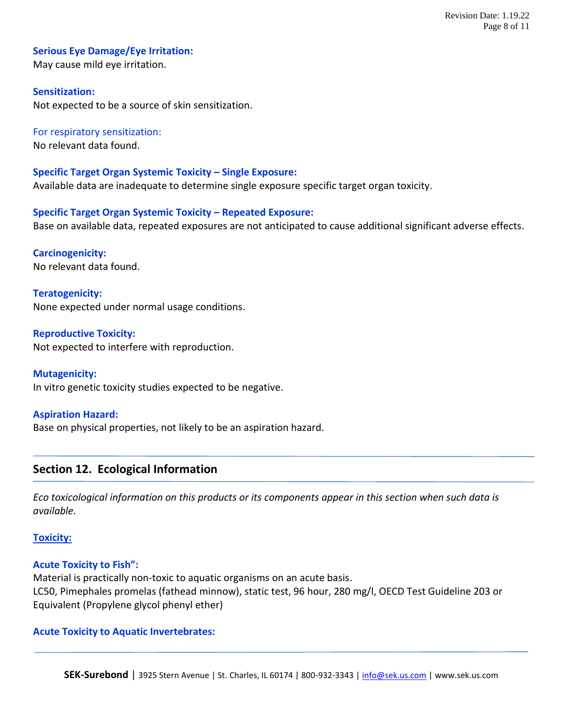#### **Serious Eye Damage/Eye Irritation:**

May cause mild eye irritation.

#### **Sensitization:**

Not expected to be a source of skin sensitization.

For respiratory sensitization: No relevant data found.

**Specific Target Organ Systemic Toxicity – Single Exposure:** Available data are inadequate to determine single exposure specific target organ toxicity.

**Specific Target Organ Systemic Toxicity – Repeated Exposure:** Base on available data, repeated exposures are not anticipated to cause additional significant adverse effects.

**Carcinogenicity:** No relevant data found.

**Teratogenicity:** None expected under normal usage conditions.

**Reproductive Toxicity:** Not expected to interfere with reproduction.

**Mutagenicity:** In vitro genetic toxicity studies expected to be negative.

#### **Aspiration Hazard:**

Base on physical properties, not likely to be an aspiration hazard.

# **Section 12. Ecological Information**

*Eco toxicological information on this products or its components appear in this section when such data is available.* 

#### **Toxicity:**

# **Acute Toxicity to Fish":**

Material is practically non-toxic to aquatic organisms on an acute basis. LC50, Pimephales promelas (fathead minnow), static test, 96 hour, 280 mg/l, OECD Test Guideline 203 or Equivalent (Propylene glycol phenyl ether)

#### **Acute Toxicity to Aquatic Invertebrates:**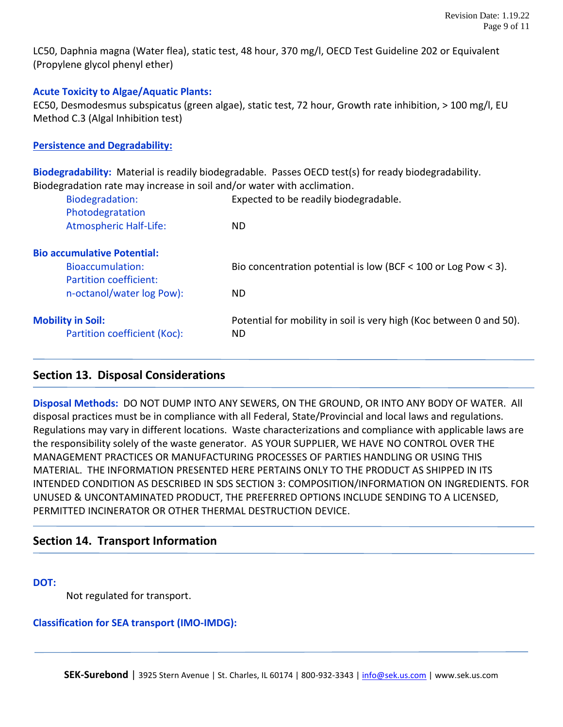LC50, Daphnia magna (Water flea), static test, 48 hour, 370 mg/l, OECD Test Guideline 202 or Equivalent (Propylene glycol phenyl ether)

# **Acute Toxicity to Algae/Aquatic Plants:**

EC50, Desmodesmus subspicatus (green algae), static test, 72 hour, Growth rate inhibition, > 100 mg/l, EU Method C.3 (Algal Inhibition test)

# **Persistence and Degradability:**

**Biodegradability:** Material is readily biodegradable. Passes OECD test(s) for ready biodegradability. Biodegradation rate may increase in soil and/or water with acclimation.

| Biodegradation:<br>Photodegratation | Expected to be readily biodegradable.                               |
|-------------------------------------|---------------------------------------------------------------------|
| <b>Atmospheric Half-Life:</b>       | ND                                                                  |
| <b>Bio accumulative Potential:</b>  |                                                                     |
| Bioaccumulation:                    | Bio concentration potential is low (BCF < 100 or Log Pow < 3).      |
| Partition coefficient:              |                                                                     |
| n-octanol/water log Pow):           | ND                                                                  |
| <b>Mobility in Soil:</b>            | Potential for mobility in soil is very high (Koc between 0 and 50). |
| Partition coefficient (Koc):        | ND                                                                  |

# **Section 13. Disposal Considerations**

**Disposal Methods:** DO NOT DUMP INTO ANY SEWERS, ON THE GROUND, OR INTO ANY BODY OF WATER. All disposal practices must be in compliance with all Federal, State/Provincial and local laws and regulations. Regulations may vary in different locations. Waste characterizations and compliance with applicable laws are the responsibility solely of the waste generator. AS YOUR SUPPLIER, WE HAVE NO CONTROL OVER THE MANAGEMENT PRACTICES OR MANUFACTURING PROCESSES OF PARTIES HANDLING OR USING THIS MATERIAL. THE INFORMATION PRESENTED HERE PERTAINS ONLY TO THE PRODUCT AS SHIPPED IN ITS INTENDED CONDITION AS DESCRIBED IN SDS SECTION 3: COMPOSITION/INFORMATION ON INGREDIENTS. FOR UNUSED & UNCONTAMINATED PRODUCT, THE PREFERRED OPTIONS INCLUDE SENDING TO A LICENSED, PERMITTED INCINERATOR OR OTHER THERMAL DESTRUCTION DEVICE.

# **Section 14. Transport Information**

**DOT:**

Not regulated for transport.

# **Classification for SEA transport (IMO-IMDG):**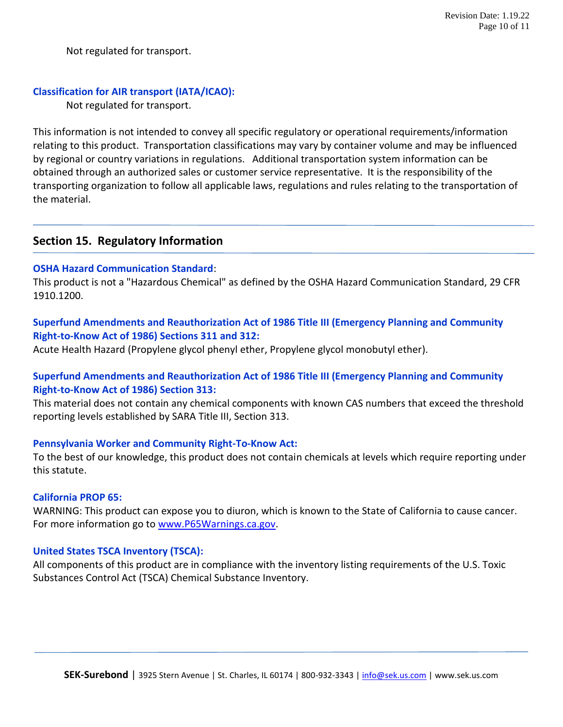Not regulated for transport.

# **Classification for AIR transport (IATA/ICAO):**

Not regulated for transport.

This information is not intended to convey all specific regulatory or operational requirements/information relating to this product. Transportation classifications may vary by container volume and may be influenced by regional or country variations in regulations. Additional transportation system information can be obtained through an authorized sales or customer service representative. It is the responsibility of the transporting organization to follow all applicable laws, regulations and rules relating to the transportation of the material.

# **Section 15. Regulatory Information**

#### **OSHA Hazard Communication Standard**:

This product is not a "Hazardous Chemical" as defined by the OSHA Hazard Communication Standard, 29 CFR 1910.1200.

# **Superfund Amendments and Reauthorization Act of 1986 Title III (Emergency Planning and Community Right-to-Know Act of 1986) Sections 311 and 312:**

Acute Health Hazard (Propylene glycol phenyl ether, Propylene glycol monobutyl ether).

# **Superfund Amendments and Reauthorization Act of 1986 Title III (Emergency Planning and Community Right-to-Know Act of 1986) Section 313:**

This material does not contain any chemical components with known CAS numbers that exceed the threshold reporting levels established by SARA Title III, Section 313.

#### **Pennsylvania Worker and Community Right-To-Know Act:**

To the best of our knowledge, this product does not contain chemicals at levels which require reporting under this statute.

#### **California PROP 65:**

WARNING: This product can expose you to diuron, which is known to the State of California to cause cancer. For more information go to [www.P65Warnings.ca.gov.](http://www.p65warnings.ca.gov/)

#### **United States TSCA Inventory (TSCA):**

All components of this product are in compliance with the inventory listing requirements of the U.S. Toxic Substances Control Act (TSCA) Chemical Substance Inventory.